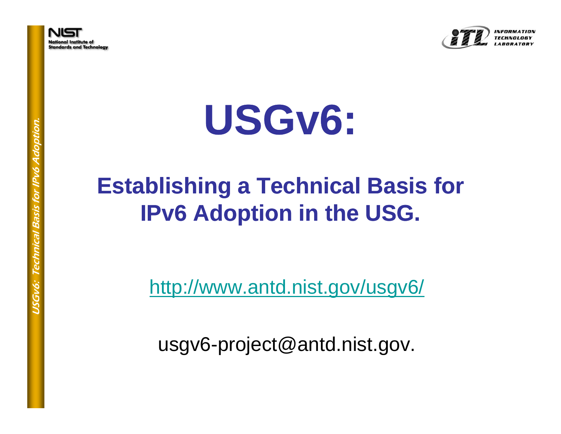

tion. **USG v6:** 

# r IPv6 Adopti  **<sup>6</sup> Establishing <sup>a</sup> Technical Basis for Technical Basis is Establishing**<br> **IPv6** Ac **IPv6 Adoption in the USG.**

http://www.antd.nist.gov/usgv6/

usgv6-project@antd.nist.gov.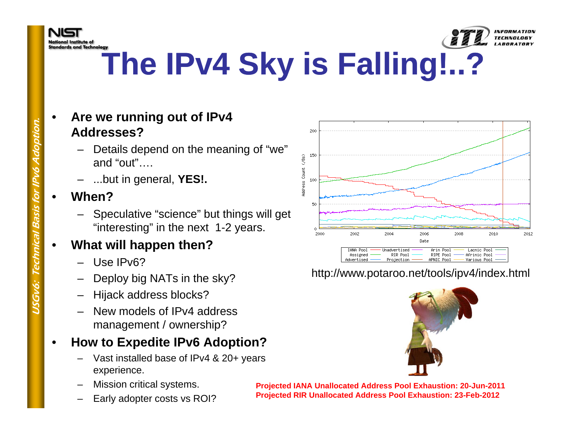



- • **Are we running out of IPv4 Addresses?**
	- r Details depend on the meaning of "we"<br>and "out"….<br>- ...but in general, **YES!.**
	-
- • **When?**
	- Speculative "science" but things will get "interesting" in the next 1-2 years.

#### •**What will happen then?**

- 
- Use IPv6?<br>Deploy big NATs in the sky?
- Hijack address blocks?
- New models of IPv4 address management / ownership?

#### •**How to Expedite IPv6 Adoption?**

- Vast installed base of IPv4 & 20+ years experience.
- Mission critical systems.
- Early adopter costs vs ROI?



### http://www.potaroo.net/tools/ipv4/index.html



**Projected IANA Unallocated Address Pool Exhaustion: 20-Jun-2011 Projected RIR Unallocated Address Pool Exhaustion: 23-Feb-2012**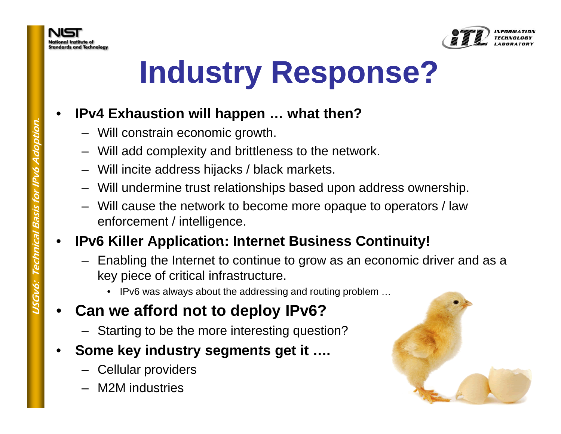

## **Industry Response?**

#### •**IPv4 Exhaustion will happen … what then?**

- Will constrain economic growth
- Will add complexity and brittleness to the network.<br>- Will incite address hijacks / black markets.
- 
- Will undermine trust relationships based upon address ownership
- Will cause the network to become more opaque to operators / law enforcement / intelligence.

#### •**IPv6 Killer Application: Internet Business Continuity!**

- Enabling the Internet to continue to grow as an economic driver and as a key piece of critical infrastructure.<br>• IPv6 was always about the addressing and routing problem ...
	-

#### •**Can we afford not to deploy IPv6?**

- Starting to be the more interesting question?
- • **Some key industry segments get it ….**
	- Cellular providers
	- M2M industries

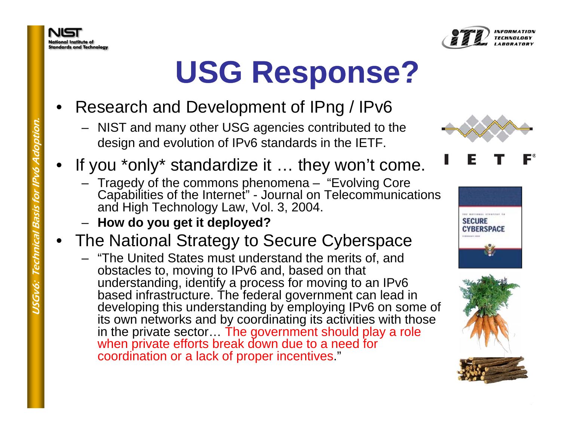



## **USG Response?**

- • Research and Development of IPng / IPv6
	- NIST and many other USG agencies contributed to the
- design and evolution of IPv6 standards in the IETF.<br>If you \*only\* standardize it … they won't come.
- ged y of the commons phenomena "Evolvin g Core g Figure 1 ragedy of the commons phenomena – "Evolving Core"<br>
Capabilities of the Internet" - Journal on Telecommunica<br>
and High Technology Law, Vol. 3, 2004.<br> **Propertive How do you get it deployed?**<br>
The National Strategy Capabilities of the Internet" - Journal on Telecommunications and High Technology Law, Vol. 3, 2004.
	- **How do you get it deployed?**
	- •
		- "The United States must understand the merits of, and<br>obstacles to, moving to IPv6 and, based on that<br>understanding, identify a process for moving to an IPv6<br>based infrastructure. The federal government can lead in<br>devel its own networks and by coordinating its activities with those in the private sector… The government should play a role when private efforts break down due to a need for coordination or a lack of proper incentives."





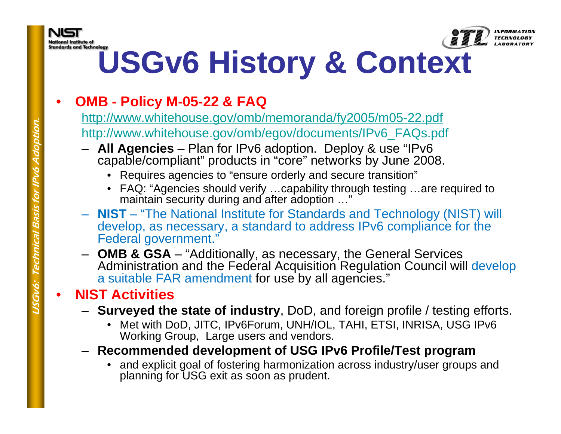



INFORMATION

# **USGv6 History & Context**

#### •**OMB - Policy M-05-22 & FAQ**

http://www.whitehouse.gov/omb/memoranda/fy2005/m05-22.pdf <u>http://www.whitehouse.gov/omb/egov/documents/IPv6\_FAQs.pdf</u> http://www.whitehouse.gov/omb/egov/documents/IPv6\_FAQs.pdf<br>– All Agencies – Plan for IPv6 adoption...Deploy & use "IPv6

- http://www.whitehouse.gov/omb/egov/documents/IPv6<br>
 All Agencies Plan for IPv6 adoption. Deploy & u<br>
capable/compliant" products in "core" networks by J<br>
 Requires agencies to "ensure orderly and secure tran<br>
 FAQ: "A **All Agencies** – Plan for IPv6 adoption. Deploy & use "IPv6 capable/compliant" products in "core" networks by June 2008.
	- Requires agencies to "ensure orderly and secure transition"
	- FAQ: "Agencies should verify …capability through testing …are required to maintain security during and after adoption …"
	- **NIST** "The National Institute for Standards and Technology (NIST) will develop, as necessary, a standard to address IPv6 compliance for the Federal government."
	- **OMB & GSA** "Additionally, as necessary, the General Services Administration and the Federal Acquisition Regulation Council will develop a suitable FAR amendment for use by all agencies."

#### •**NIST Activities**

- **USG TIMIST ACTIVILIES**<br>State of industry, DoD, and foreign profile / testing efforts.
	- Met with DoD, JITC, IPv6Forum, UNH/IOL, TAHI, ETSI, INRISA, USG IPv6 Working Group, Large users and vendors.
	- **Recommended development of USG IPv6 Profile/Test program program**
		- and explicit goal of fostering harmonization across industry/user groups and planning for USG exit as soon as prudent.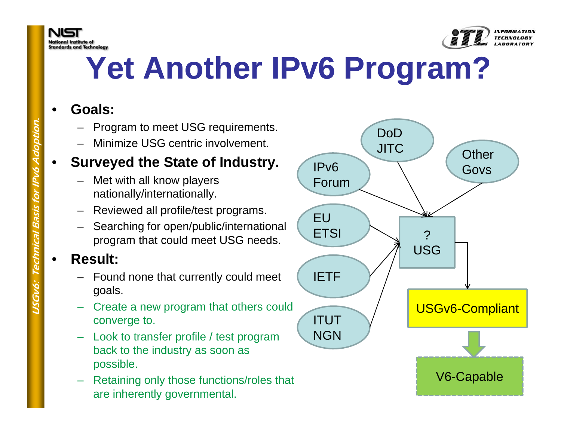



### Yet Another IPv6 Program?

#### •**Goals:**

- Program to meet USG requirements. DoD
- 

### Property - Minimize USG centric involvement.<br>
Surveyed the State of Industr<br>
- Met with all know players<br>
Added the State of Industr •**• Surveyed the State of Industry.**

- Met with all know players
- nationally/internationally.<br>
 Reviewed all profile/test programs.<br>
 Searching for open/public/international
- program that could meet USG needs.

#### •**Result:**

- program that could meet USG needs<br>
 Result:<br>
 Found none that currently could mee<br>
goals. – Found none that currently could meet goals.
	- $-$  Create a new program that others could converge to.
	- Look to transfer profile / test program back to the industry as soon as back possible.
	- Retaining only those functions/roles that are inherently governmental.

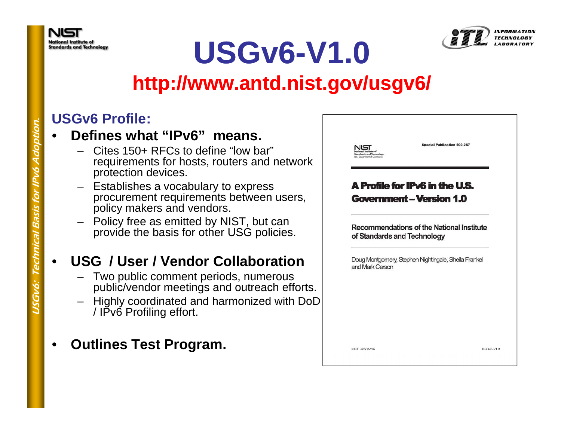



### **USGv6-V1.0**

### **http://www antd nist gov/usgv6/ http://www.antd.nist.gov/usgv6/**

### **USGv6 Profile:**

#### •**Defines what "IPv6" means IPv6 means.**

- Cites 150+ RFCs to define "low bar" requirements for hosts, routers and network protection devices.
- Establishes <sup>a</sup> vocabulary to express a ical Branch<br>
procureme<br>
policy mak<br>
– Policy free<br>
provide the procurement requirements between users, policy makers and vendors.
	- Policy free as emitted by NIST, but can provide the basis for other USG policies.

#### •**USG / User / Vendor Collaboration**

- Two public comment periods, numerous public/vendor meetings and outreach efforts.
- Highly coordinated and harmonized with DoD / IPv6 Profiling effort.
- •**Outlines Test Program.**

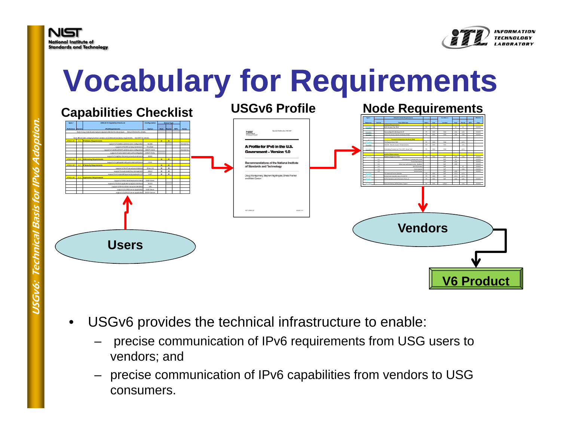



### **Vocabulary for Requirements**



- $\bullet$  USGv6 provides the technical infrastructure to enable:
	- precise communication of IPv6 requirements from USG users to vendors; and
	- precise communication of IPv6 capabilities from vendors to USG consumers.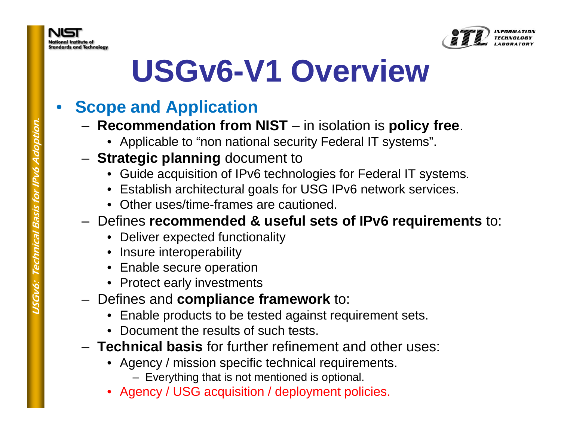



### USGv6-V1 Overview

#### •**Scope and Application**

- **Recommendation from NIST** in isolation is **policy free**.
	- Applicable to "non national security Federal IT systems".
- **Strategic planning** document to
	- Guide acquisition of IPv6 technologies for Federal IT systems.
	- Establish architectural goals for USG IPv6 network services
	-
- Other uses/time-frames are cautioned.<br>
− Defines **recommended & useful sets of IPv6 requirements** to:<br>
 Deliver expected functionality<br>
 Insure interoperability
	-
	-
	-
	-
- Framework Politic expected randichality<br>
 Insure interoperability<br>
 Enable secure operation<br>
 Protect early investments<br>
Defines and **compliance framework** to: – υσιιισο αιω συπριιαιισ
	- Enable products to be tested against requirement sets.
	- Document the results of such tests.
	- **Technical basis** for further refinement and other uses:
		- Agency / mission specific technical requirements.
			- Everything that is not mentioned is optional.
		- Agency / USG acquisition / deployment policies.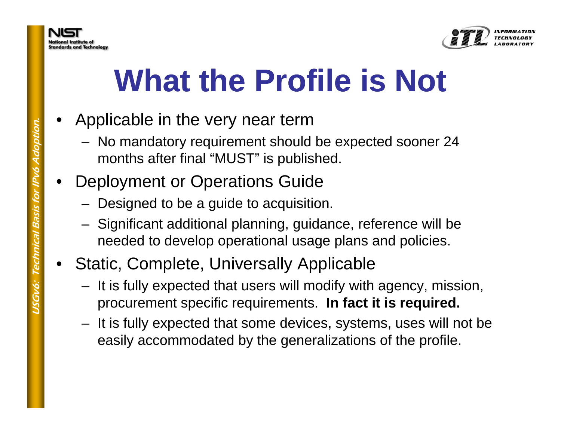

## **What the Profile is Not**

- • Applicable in the very near term
	- No mandatory requirement should be expected sooner 24 months after final "MUST" is published.
- De plo yment or O perations Guide
	-
	- Designed to be a guide to acquisition.<br>- Significant additional planning, guidance, reference will be needed to develop operational usage plans and policies.
- 
- Static, Complete, Universally Applicable<br>- It is fully expected that users will modify with agency, mission, **I f t it i i d hereon** procurement specific requirements. In fact it is required.
	- It is fully expected that some devices, systems, uses will not be easily accommodated by the generalizations of the profile.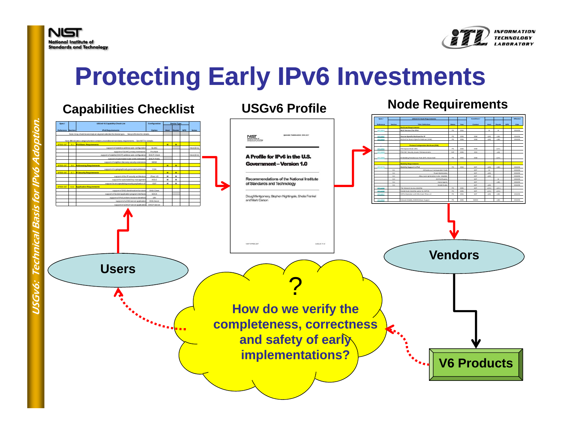



### **Protecting Early IPv6 Investments**

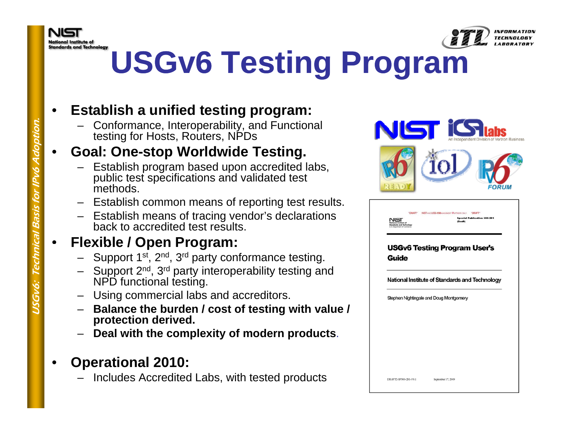



INFORMATION

## **USGv6 Testing Program**

#### •**Establish a unified testing program:**

– Conformance, Interoperability, and Functional testing for Hosts, Routers, NPDs

### **Goal: One-stop Worldwide Testing.**

- Establish program based upon accredited labs, public test specifications and validated test methods
- Establish common means of reporting test results.
- Establish means of tracing vendor's declarations back to accredited test results.

### **Flexible / Open Program:**

- Support 1<sup>st</sup>, 2<sup>nd</sup>, 3<sup>rd</sup> party conformance testing.
- **FIEXIDI<br>
FIEXIDI**<br>
 Supp<br>
 Supp<br>
NPD<br>
 Usin<br>
-– Support 2<sup>nd</sup>, 3<sup>rd</sup> party interoperability testing and NPD functional testing.
	- Using commercial labs and accreditors.
	- Balance the burden / cost of testing with value / **protection derived.**
	- **Deal with the complexity of modern products**.
	- • **Operational 2010:**
		- Includes Accredited Labs, with tested products



•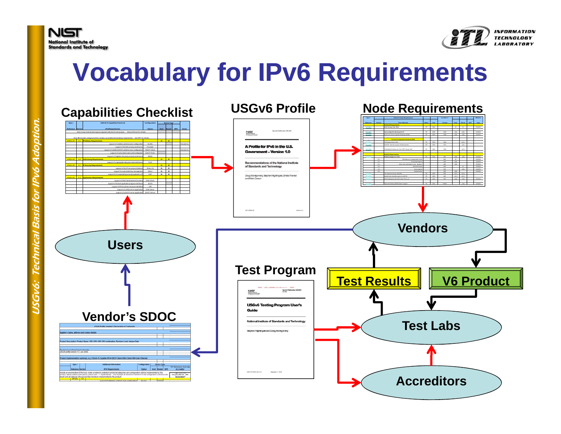



### **Vocabulary for IPv6 Requirements**

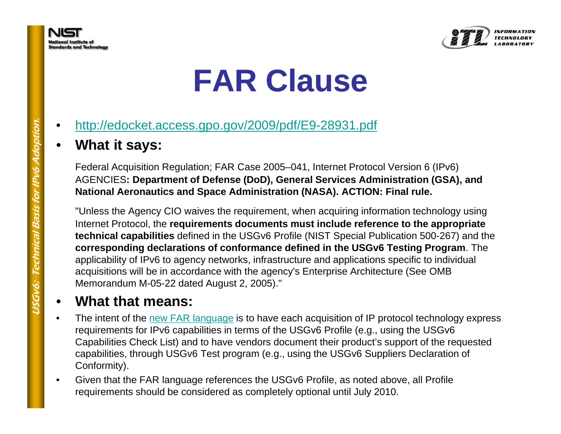



### **FAR Clause**

- •http://edocket.access.gpo.gov/2009/pdf/E9-28931.pdf
- 

**What it says:**<br>Federal Acquisition Regulation; FAR Case 2005–041, Internet Protocol Version 6 (IPv6)<br>AGENCIES: Department of Defense (DoD), General Services Administration (GSA), and<br>National Aeronautics and Space Adminis

"Unless the Agency CIO waives the requirement, when acquiring information technology using<br>Internet Protocol, the **requirements documents must include reference to the appropriate**<br>technical capabilities defined in the USG corresponding declarations of conformance defined in the USGv6 Testing Program. The applicability of IPv6 to agency networks, infrastructure and applications specific to individual<br>acquisitions will be in accordance with the agency's Enterprise Architecture (See OMB<br>Memorandum M-05-22 dated August 2, 2005

#### **What that means:**

- •The intent of the new FAR language is to have each acquisition of IP protocol technology express requirements for IPv6 capabilities in terms of the USGv6 Profile (e.g., using the USGv6 Capabilities Check List) and to have vendors document their product's support of the requested capabilities, through USGv6 Test program (e.g., using the USGv6 Suppliers Declaration of Conformity).
- • Given that the FAR language references the USGv6 Profile, as noted above, all Profile requirements should be considered as completely optional until July 2010.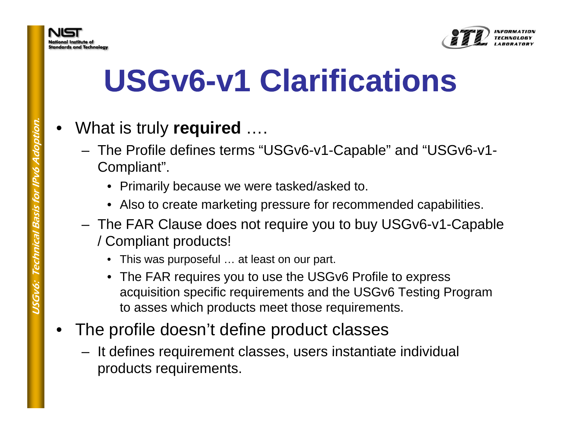

## USGv6-v1 Clarifications

- •What is truly **required** ….
	- The Profile defines terms "USGv6-v1-Capable" and "USGv6-v1- Compliant".
		- Primarily because we were tasked/asked to.
		-
	- Also to create marketing pressure for recommended capabilities.<br>The FAR Clause does not require you to buy USGv6-v1-Capable / Compliant products!
		- This was purposeful … at least on our part.
		- The FAR requires you to use the USGv6 Profile to express acquisition specific requirements and the USGv6 Testing Program to asses which products meet those requirements.
- • The profile doesn't define product classes
	- $-$  It defines requirement classes, users instantiate individual products requirements.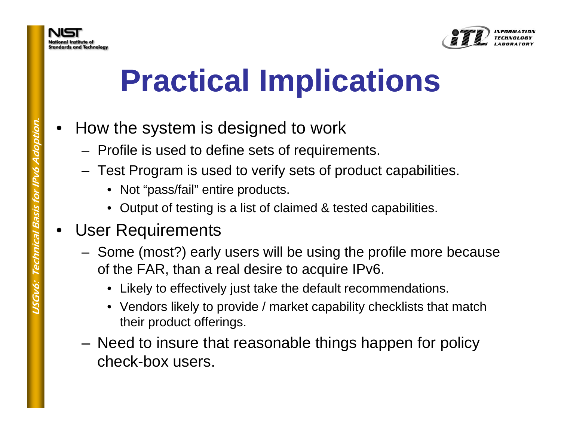

## **Practical Implications**

- • How the s ystem is desi gned to work
	-
	- Profile is used to define sets of requirements.<br>- Test Program is used to verify sets of product capabilities.
		- Not "pass/fail" entire products.
		- Output of testing is a list of claimed & tested capabilities.
- • User Requirements
	- Gome (most?) early users will be using the profile more because<br>of the FAR, than a real desire to acquire IPv6.<br>• Likely to effectively just take the default recommendations.
		-
		- Vendors likely to provide / market capability checklists that match their product offerings.
	- – Need to insure that reasonable things happen for policy check-box users.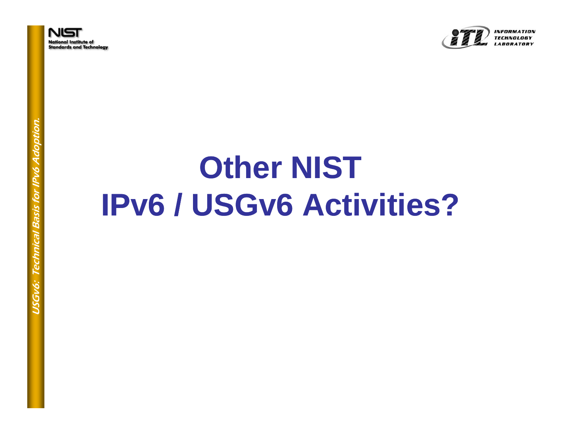



## **Other NIST IPv6 / USGv6 Activities?**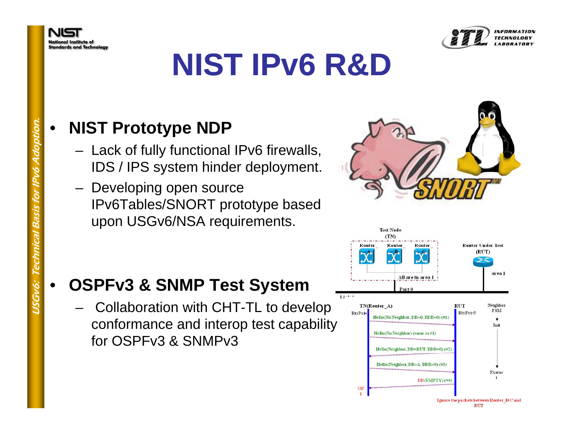



### **NIST IPv6 R&D**

#### •**NIST Prototype NDP**

- Lack of fully functional IPv6 firewalls,<br>IDS / IPS system hinder deployment.
- – $-$  Developing open source IPv6Tables/SNORT prototype based<br>upon USGv6/NSA requirements.

#### •**OSPFv3 & SNMP Test System**

Collaboration with CHT-TL to develop conformance and interop test capability for OSPFv3 & SNMPv3





**RUT** 

tion. Gv6: Technic